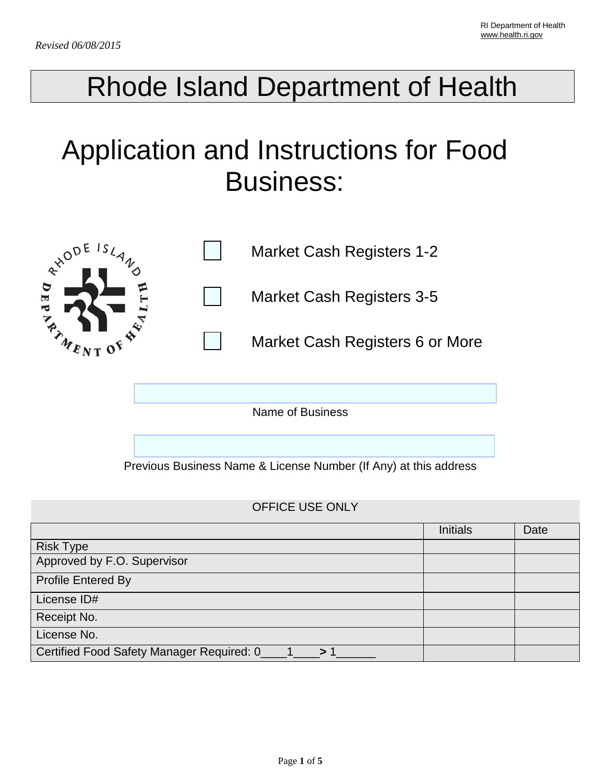## Rhode Island Department of Health

# Application and Instructions for Food Business:



Name of Business

Previous Business Name & License Number (If Any) at this address

### OFFICE USE ONLY

|                                           | <b>Initials</b> | Date |
|-------------------------------------------|-----------------|------|
| <b>Risk Type</b>                          |                 |      |
| Approved by F.O. Supervisor               |                 |      |
| <b>Profile Entered By</b>                 |                 |      |
| License ID#                               |                 |      |
| Receipt No.                               |                 |      |
| License No.                               |                 |      |
| Certified Food Safety Manager Required: 0 |                 |      |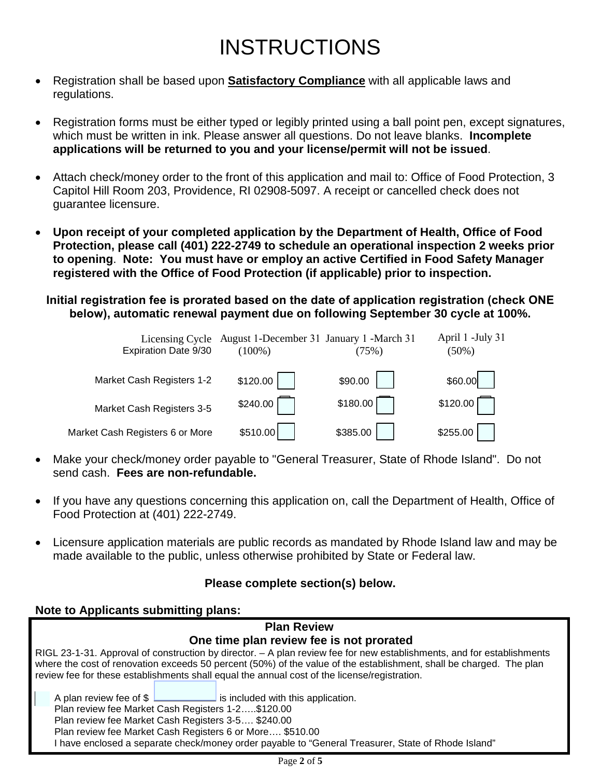## INSTRUCTIONS

- Registration shall be based upon **Satisfactory Compliance** with all applicable laws and regulations.
- Registration forms must be either typed or legibly printed using a ball point pen, except signatures, which must be written in ink. Please answer all questions. Do not leave blanks. **Incomplete applications will be returned to you and your license/permit will not be issued**.
- Attach check/money order to the front of this application and mail to: Office of Food Protection, 3 Capitol Hill Room 203, Providence, RI 02908-5097. A receipt or cancelled check does not guarantee licensure.
- **Upon receipt of your completed application by the Department of Health, Office of Food Protection, please call (401) 222-2749 to schedule an operational inspection 2 weeks prior to opening**. **Note: You must have or employ an active Certified in Food Safety Manager registered with the Office of Food Protection (if applicable) prior to inspection.**

**Initial registration fee is prorated based on the date of application registration (check ONE below), automatic renewal payment due on following September 30 cycle at 100%.** 

| Licensing Cycle<br>Expiration Date 9/30 | August 1-December 31 January 1 -March 31<br>$(100\%)$ | (75%)    | April 1 -July 31<br>$(50\%)$ |
|-----------------------------------------|-------------------------------------------------------|----------|------------------------------|
| Market Cash Registers 1-2               | \$120.00                                              | \$90.00  | \$60.00                      |
| Market Cash Registers 3-5               | \$240.00                                              | \$180.00 | \$120.00                     |
| Market Cash Registers 6 or More         | \$510.00                                              | \$385.00 | \$255.00                     |

- Make your check/money order payable to "General Treasurer, State of Rhode Island". Do not send cash. **Fees are non-refundable.**
- If you have any questions concerning this application on, call the Department of Health, Office of Food Protection at (401) 222-2749.
- Licensure application materials are public records as mandated by Rhode Island law and may be made available to the public, unless otherwise prohibited by State or Federal law.

### **Please complete section(s) below.**

**Note to Applicants submitting plans:**

#### **Plan Review One time plan review fee is not prorated** RIGL 23-1-31. Approval of construction by director. – A plan review fee for new establishments, and for establishments where the cost of renovation exceeds 50 percent (50%) of the value of the establishment, shall be charged. The plan review fee for these establishments shall equal the annual cost of the license/registration. A plan review fee of  $\frac{1}{2}$  is included with this application. Plan review fee Market Cash Registers 1-2…..\$120.00 Plan review fee Market Cash Registers 3-5…. \$240.00 Plan review fee Market Cash Registers 6 or More…. \$510.00 I have enclosed a separate check/money order payable to "General Treasurer, State of Rhode Island"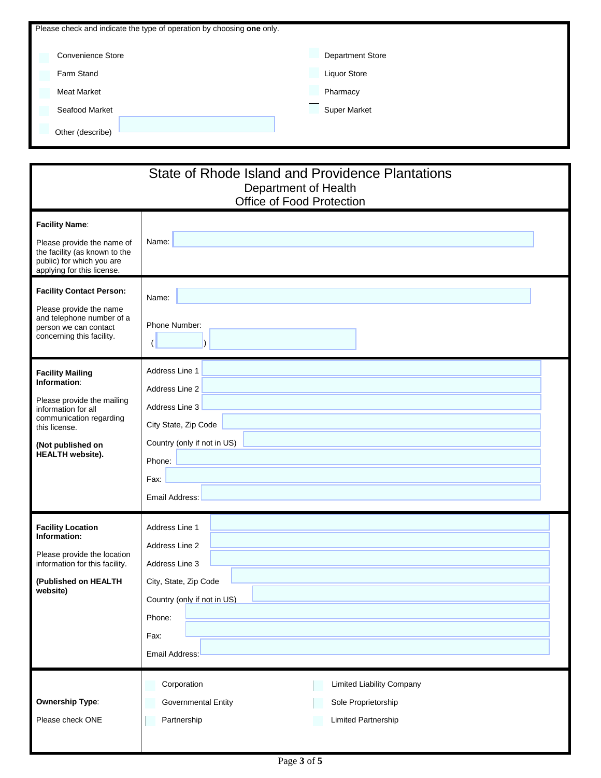| Please check and indicate the type of operation by choosing one only. |                         |  |  |
|-----------------------------------------------------------------------|-------------------------|--|--|
| Convenience Store                                                     | <b>Department Store</b> |  |  |
| Farm Stand                                                            | Liquor Store            |  |  |
| <b>Meat Market</b>                                                    | Pharmacy                |  |  |
| Seafood Market                                                        | <b>Super Market</b>     |  |  |
| Other (describe)                                                      |                         |  |  |

| State of Rhode Island and Providence Plantations<br>Department of Health<br>Office of Food Protection                                                                                    |                                                                                                                                                |  |
|------------------------------------------------------------------------------------------------------------------------------------------------------------------------------------------|------------------------------------------------------------------------------------------------------------------------------------------------|--|
| <b>Facility Name:</b><br>Please provide the name of<br>the facility (as known to the<br>public) for which you are<br>applying for this license.                                          | Name:                                                                                                                                          |  |
| <b>Facility Contact Person:</b><br>Please provide the name<br>and telephone number of a<br>person we can contact<br>concerning this facility.                                            | Name:<br>Phone Number:                                                                                                                         |  |
| <b>Facility Mailing</b><br>Information:<br>Please provide the mailing<br>information for all<br>communication regarding<br>this license.<br>(Not published on<br><b>HEALTH</b> website). | Address Line 1<br>Address Line 2<br>Address Line 3<br>City State, Zip Code<br>Country (only if not in US)<br>Phone:<br>Fax:<br>Email Address:  |  |
| <b>Facility Location</b><br>Information:<br>Please provide the location<br>information for this facility.<br>(Published on HEALTH<br>website)                                            | Address Line 1<br>Address Line 2<br>Address Line 3<br>City, State, Zip Code<br>Country (only if not in US)<br>Phone:<br>Fax:<br>Email Address: |  |
| <b>Ownership Type:</b><br>Please check ONE                                                                                                                                               | Corporation<br><b>Limited Liability Company</b><br>Governmental Entity<br>Sole Proprietorship<br>Partnership<br>Limited Partnership            |  |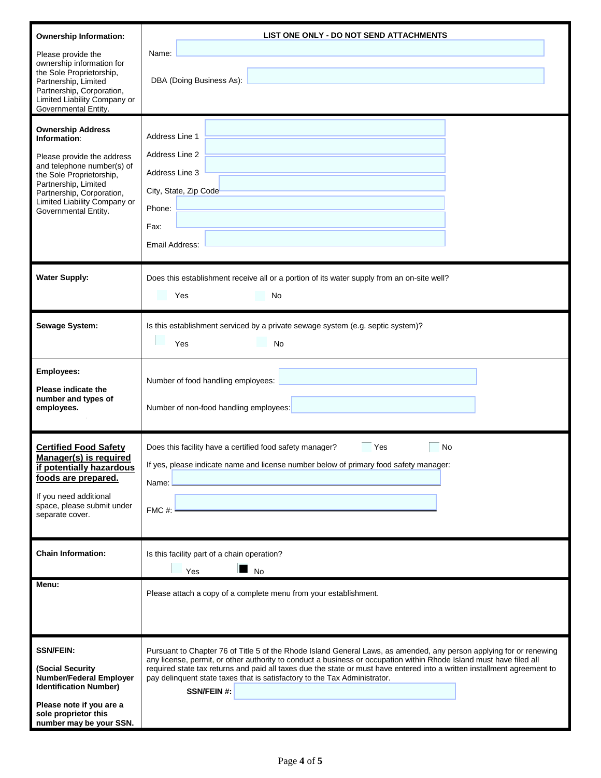| <b>Ownership Information:</b><br>Please provide the<br>ownership information for<br>the Sole Proprietorship,<br>Partnership, Limited<br>Partnership, Corporation,<br>Limited Liability Company or<br>Governmental Entity.<br><b>Ownership Address</b><br>Information:<br>Please provide the address<br>and telephone number(s) of<br>the Sole Proprietorship,<br>Partnership, Limited<br>Partnership, Corporation,<br>Limited Liability Company or<br>Governmental Entity. | LIST ONE ONLY - DO NOT SEND ATTACHMENTS<br>Name:<br>DBA (Doing Business As):<br>Address Line 1<br>Address Line 2<br>Address Line 3<br>City, State, Zip Code<br>Phone:<br>Fax:                                                                                                                                                                                                                                                                                             |
|----------------------------------------------------------------------------------------------------------------------------------------------------------------------------------------------------------------------------------------------------------------------------------------------------------------------------------------------------------------------------------------------------------------------------------------------------------------------------|---------------------------------------------------------------------------------------------------------------------------------------------------------------------------------------------------------------------------------------------------------------------------------------------------------------------------------------------------------------------------------------------------------------------------------------------------------------------------|
|                                                                                                                                                                                                                                                                                                                                                                                                                                                                            | Email Address:                                                                                                                                                                                                                                                                                                                                                                                                                                                            |
| <b>Water Supply:</b>                                                                                                                                                                                                                                                                                                                                                                                                                                                       | Does this establishment receive all or a portion of its water supply from an on-site well?<br>Yes<br>No                                                                                                                                                                                                                                                                                                                                                                   |
| Sewage System:                                                                                                                                                                                                                                                                                                                                                                                                                                                             | Is this establishment serviced by a private sewage system (e.g. septic system)?<br><b>No</b><br>Yes                                                                                                                                                                                                                                                                                                                                                                       |
| <b>Employees:</b><br>Please indicate the<br>number and types of<br>employees.                                                                                                                                                                                                                                                                                                                                                                                              | Number of food handling employees:<br>Number of non-food handling employees:                                                                                                                                                                                                                                                                                                                                                                                              |
| <b>Certified Food Safety</b><br>Manager(s) is required<br>if potentially hazardous<br>foods are prepared.<br>If you need additional<br>space, please submit under<br>separate cover.                                                                                                                                                                                                                                                                                       | Does this facility have a certified food safety manager?<br>Yes<br>No<br>If yes, please indicate name and license number below of primary food safety manager:<br>Name:<br>FMC#:                                                                                                                                                                                                                                                                                          |
| <b>Chain Information:</b>                                                                                                                                                                                                                                                                                                                                                                                                                                                  | Is this facility part of a chain operation?<br><b>No</b><br>Yes                                                                                                                                                                                                                                                                                                                                                                                                           |
| Menu:                                                                                                                                                                                                                                                                                                                                                                                                                                                                      | Please attach a copy of a complete menu from your establishment.                                                                                                                                                                                                                                                                                                                                                                                                          |
| <b>SSN/FEIN:</b><br>(Social Security)<br><b>Number/Federal Employer</b><br><b>Identification Number)</b><br>Please note if you are a<br>sole proprietor this<br>number may be your SSN.                                                                                                                                                                                                                                                                                    | Pursuant to Chapter 76 of Title 5 of the Rhode Island General Laws, as amended, any person applying for or renewing<br>any license, permit, or other authority to conduct a business or occupation within Rhode Island must have filed all<br>required state tax returns and paid all taxes due the state or must have entered into a written installment agreement to<br>pay delinquent state taxes that is satisfactory to the Tax Administrator.<br><b>SSN/FEIN #:</b> |